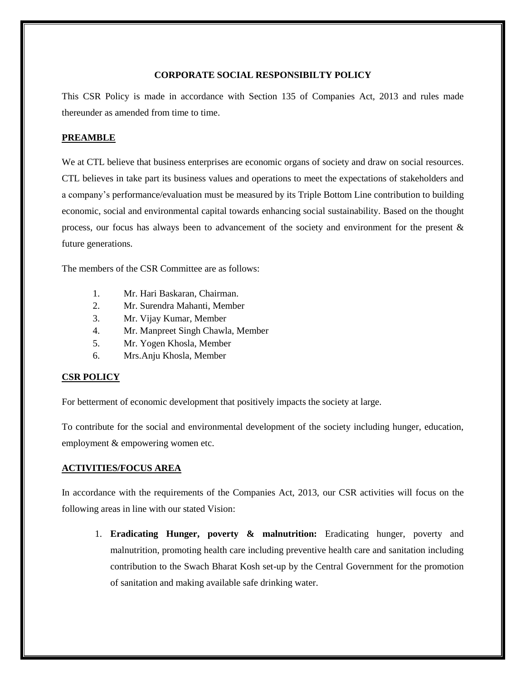## **CORPORATE SOCIAL RESPONSIBILTY POLICY**

This CSR Policy is made in accordance with Section 135 of Companies Act, 2013 and rules made thereunder as amended from time to time.

## **PREAMBLE**

We at CTL believe that business enterprises are economic organs of society and draw on social resources. CTL believes in take part its business values and operations to meet the expectations of stakeholders and a company's performance/evaluation must be measured by its Triple Bottom Line contribution to building economic, social and environmental capital towards enhancing social sustainability. Based on the thought process, our focus has always been to advancement of the society and environment for the present & future generations.

The members of the CSR Committee are as follows:

- 1. Mr. Hari Baskaran, Chairman.
- 2. Mr. Surendra Mahanti, Member
- 3. Mr. Vijay Kumar, Member
- 4. Mr. Manpreet Singh Chawla, Member
- 5. Mr. Yogen Khosla, Member
- 6. Mrs.Anju Khosla, Member

### **CSR POLICY**

For betterment of economic development that positively impacts the society at large.

To contribute for the social and environmental development of the society including hunger, education, employment & empowering women etc.

#### **ACTIVITIES/FOCUS AREA**

In accordance with the requirements of the Companies Act, 2013, our CSR activities will focus on the following areas in line with our stated Vision:

1. **Eradicating Hunger, poverty & malnutrition:** Eradicating hunger, poverty and malnutrition, promoting health care including preventive health care and sanitation including contribution to the Swach Bharat Kosh set-up by the Central Government for the promotion of sanitation and making available safe drinking water.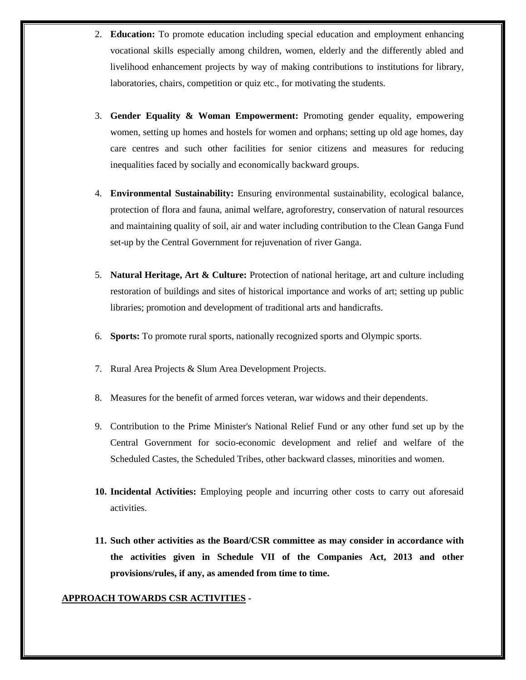- 2. **Education:** To promote education including special education and employment enhancing vocational skills especially among children, women, elderly and the differently abled and livelihood enhancement projects by way of making contributions to institutions for library, laboratories, chairs, competition or quiz etc., for motivating the students.
- 3. **Gender Equality & Woman Empowerment:** Promoting gender equality, empowering women, setting up homes and hostels for women and orphans; setting up old age homes, day care centres and such other facilities for senior citizens and measures for reducing inequalities faced by socially and economically backward groups.
- 4. **Environmental Sustainability:** Ensuring environmental sustainability, ecological balance, protection of flora and fauna, animal welfare, agroforestry, conservation of natural resources and maintaining quality of soil, air and water including contribution to the Clean Ganga Fund set-up by the Central Government for rejuvenation of river Ganga.
- 5. **Natural Heritage, Art & Culture:** Protection of national heritage, art and culture including restoration of buildings and sites of historical importance and works of art; setting up public libraries; promotion and development of traditional arts and handicrafts.
- 6. **Sports:** To promote rural sports, nationally recognized sports and Olympic sports.
- 7. Rural Area Projects & Slum Area Development Projects.
- 8. Measures for the benefit of armed forces veteran, war widows and their dependents.
- 9. Contribution to the Prime Minister's National Relief Fund or any other fund set up by the Central Government for socio-economic development and relief and welfare of the Scheduled Castes, the Scheduled Tribes, other backward classes, minorities and women.
- **10. Incidental Activities:** Employing people and incurring other costs to carry out aforesaid activities.
- **11. Such other activities as the Board/CSR committee as may consider in accordance with the activities given in Schedule VII of the Companies Act, 2013 and other provisions/rules, if any, as amended from time to time.**

#### **APPROACH TOWARDS CSR ACTIVITIES -**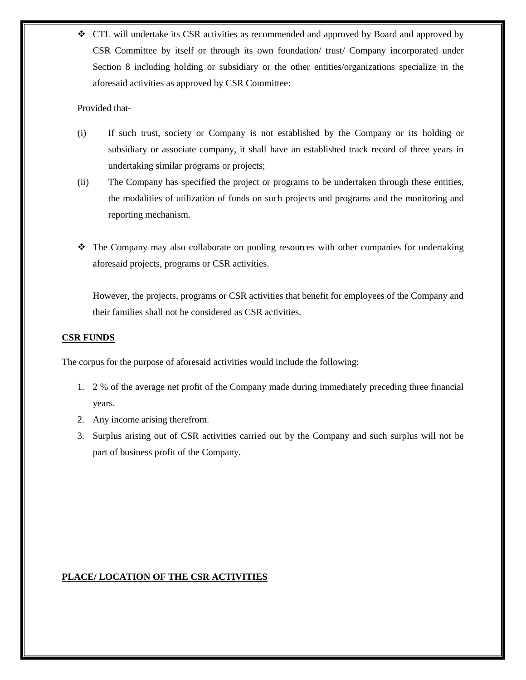CTL will undertake its CSR activities as recommended and approved by Board and approved by CSR Committee by itself or through its own foundation/ trust/ Company incorporated under Section 8 including holding or subsidiary or the other entities/organizations specialize in the aforesaid activities as approved by CSR Committee:

## Provided that-

- (i) If such trust, society or Company is not established by the Company or its holding or subsidiary or associate company, it shall have an established track record of three years in undertaking similar programs or projects;
- (ii) The Company has specified the project or programs to be undertaken through these entities, the modalities of utilization of funds on such projects and programs and the monitoring and reporting mechanism.
- The Company may also collaborate on pooling resources with other companies for undertaking aforesaid projects, programs or CSR activities.

However, the projects, programs or CSR activities that benefit for employees of the Company and their families shall not be considered as CSR activities.

## **CSR FUNDS**

The corpus for the purpose of aforesaid activities would include the following:

- 1. 2 % of the average net profit of the Company made during immediately preceding three financial years.
- 2. Any income arising therefrom.
- 3. Surplus arising out of CSR activities carried out by the Company and such surplus will not be part of business profit of the Company.

# **PLACE/ LOCATION OF THE CSR ACTIVITIES**